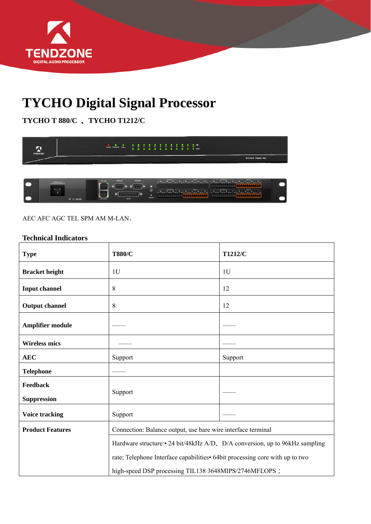

## **TYCHO Digital Signal Processor**

**TYCHO T 880/C** 、**TYCHO T1212/C** 



## AEC AFC AGC TEL SPM AM M-LAN、

## **Technical Indicators**

| <b>Type</b>                    | <b>T880/C</b>                                                                                                                                                                                                         | T1212/C |
|--------------------------------|-----------------------------------------------------------------------------------------------------------------------------------------------------------------------------------------------------------------------|---------|
| <b>Bracket height</b>          | 1 <sub>U</sub>                                                                                                                                                                                                        | 1U      |
| <b>Input channel</b>           | 8                                                                                                                                                                                                                     | 12      |
| <b>Output channel</b>          | 8                                                                                                                                                                                                                     | 12      |
| Amplifier module               |                                                                                                                                                                                                                       |         |
| <b>Wireless mics</b>           |                                                                                                                                                                                                                       |         |
| <b>AEC</b>                     | Support                                                                                                                                                                                                               | Support |
| <b>Telephone</b>               |                                                                                                                                                                                                                       |         |
| Feedback<br><b>Suppression</b> | Support                                                                                                                                                                                                               |         |
| <b>Voice tracking</b>          | Support                                                                                                                                                                                                               |         |
| <b>Product Features</b>        | Connection: Balance output, use bare wire interface terminal                                                                                                                                                          |         |
|                                | Hardware structure:• 24 bit/48kHz A/D, D/A conversion, up to 96kHz sampling<br>rate; Telephone Interface capabilities • 64bit processing core with up to two<br>high-speed DSP processing TIL138 3648MIPS/2746MFLOPS; |         |